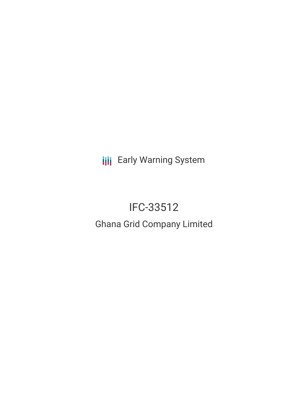**III** Early Warning System

# IFC-33512 Ghana Grid Company Limited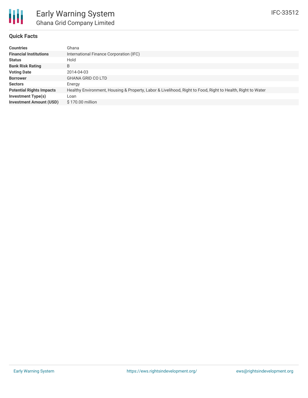

#### **Quick Facts**

| <b>Countries</b><br>Ghana                          |                                                                                                             |
|----------------------------------------------------|-------------------------------------------------------------------------------------------------------------|
| <b>Financial Institutions</b>                      | International Finance Corporation (IFC)                                                                     |
| Hold<br><b>Status</b>                              |                                                                                                             |
| <b>Bank Risk Rating</b><br>B                       |                                                                                                             |
| <b>Voting Date</b><br>2014-04-03                   |                                                                                                             |
| <b>Borrower</b>                                    | <b>GHANA GRID CO LTD</b>                                                                                    |
| <b>Sectors</b><br>Energy                           |                                                                                                             |
| <b>Potential Rights Impacts</b>                    | Healthy Environment, Housing & Property, Labor & Livelihood, Right to Food, Right to Health, Right to Water |
| Investment Type(s)<br>Loan                         |                                                                                                             |
| <b>Investment Amount (USD)</b><br>\$170.00 million |                                                                                                             |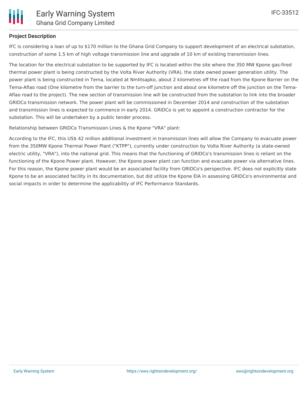# **Project Description**

IFC is considering a loan of up to \$170 million to the Ghana Grid Company to support development of an electrical substation, construction of some 1.5 km of high voltage transmission line and upgrade of 10 km of existing transmission lines.

The location for the electrical substation to be supported by IFC is located within the site where the 350 MW Kpone gas-fired thermal power plant is being constructed by the Volta River Authority (VRA), the state owned power generation utility. The power plant is being constructed in Tema, located at Nmlitsapko, about 2 kilometres off the road from the Kpone Barrier on the Tema-Aflao road (One kilometre from the barrier to the turn-off junction and about one kilometre off the junction on the Tema-Aflao road to the project). The new section of transmission line will be constructed from the substation to link into the broader GRIDCo transmission network. The power plant will be commissioned in December 2014 and construction of the substation and transmission lines is expected to commence in early 2014. GRIDCo is yet to appoint a construction contractor for the substation. This will be undertaken by a public tender process.

Relationship between GRIDCo Transmission Lines & the Kpone "VRA" plant:

According to the IFC, this US\$ 42 million additional investment in transmission lines will allow the Company to evacuate power from the 350MW Kpone Thermal Power Plant ("KTPP"), currently under construction by Volta River Authority (a state-owned electric utility, "VRA"), into the national grid. This means that the functioning of GRIDCo's transmission lines is reliant on the functioning of the Kpone Power plant. However, the Kpone power plant can function and evacuate power via alternative lines. For this reason, the Kpone power plant would be an associated facility from GRIDCo's perspective. IFC does not explicitly state Kpone to be an associated facility in its documentation, but did utilize the Kpone EIA in assessing GRIDCo's environmental and social impacts in order to determine the applicability of IFC Performance Standards.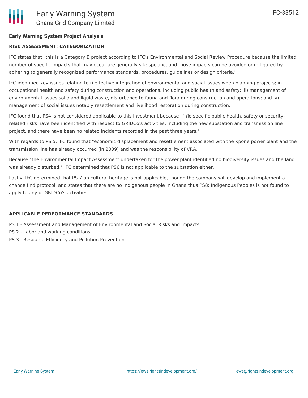# **Early Warning System Project Analysis**

# **RISk ASSESSMENT: CATEGORIZATION**

IFC states that "this is a Category B project according to IFC's Environmental and Social Review Procedure because the limited number of specific impacts that may occur are generally site specific, and those impacts can be avoided or mitigated by adhering to generally recognized performance standards, procedures, guidelines or design criteria."

IFC identified key issues relating to i) effective integration of environmental and social issues when planning projects; ii) occupational health and safety during construction and operations, including public health and safety; iii) management of environmental issues solid and liquid waste, disturbance to fauna and flora during construction and operations; and iv) management of social issues notably resettlement and livelihood restoration during construction.

IFC found that PS4 is not considered applicable to this investment because "[n]o specific public health, safety or securityrelated risks have been identified with respect to GRIDCo's activities, including the new substation and transmission line project, and there have been no related incidents recorded in the past three years."

With regards to PS 5, IFC found that "economic displacement and resettlement associated with the Kpone power plant and the transmission line has already occurred (in 2009) and was the responsibility of VRA."

Because "the Environmental Impact Assessment undertaken for the power plant identified no biodiversity issues and the land was already disturbed," IFC determined that PS6 is not applicable to the substation either.

Lastly, IFC determined that PS 7 on cultural heritage is not applicable, though the company will develop and implement a chance find protocol, and states that there are no indigenous people in Ghana thus PS8: Indigenous Peoples is not found to apply to any of GRIDCo's activities.

#### **APPLICABLE PERFORMANCE STANDARDS**

- PS 1 Assessment and Management of Environmental and Social Risks and Impacts
- PS 2 Labor and working conditions
- PS 3 Resource Efficiency and Pollution Prevention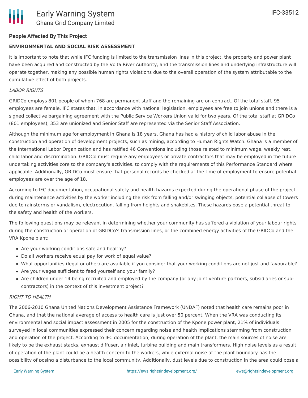## **People Affected By This Project**

#### **ENVIRONMENTAL AND SOCIAL RISK ASSESSMENT**

It is important to note that while IFC funding is limited to the transmission lines in this project, the property and power plant have been acquired and constructed by the Volta River Authority, and the transmission lines and underlying infrastructure will operate together, making any possible human rights violations due to the overall operation of the system attributable to the cumulative effect of both projects.

#### LABOR RIGHTS

GRIDCo employs 801 people of whom 768 are permanent staff and the remaining are on contract. Of the total staff, 95 employees are female. IFC states that, in accordance with national legislation, employees are free to join unions and there is a signed collective bargaining agreement with the Public Service Workers Union valid for two years. Of the total staff at GRIDCo (801 employees), 353 are unionized and Senior Staff are represented via the Senior Staff Association.

Although the minimum age for employment in Ghana is 18 years, Ghana has had a history of child labor abuse in the construction and operation of development projects, such as mining, according to Human Rights Watch. Ghana is a member of the International Labor Organization and has ratified 46 Conventions including those related to minimum wage, weekly rest, child labor and discrimination. GRIDCo must require any employees or private contractors that may be employed in the future undertaking activities core to the company's activities, to comply with the requirements of this Performance Standard where applicable. Additionally, GRIDCo must ensure that personal records be checked at the time of employment to ensure potential employees are over the age of 18.

According to IFC documentation, occupational safety and health hazards expected during the operational phase of the project during maintenance activities by the worker including the risk from falling and/or swinging objects, potential collapse of towers due to rainstorms or vandalism, electrocution, falling from heights and snakebites. These hazards pose a potential threat to the safety and health of the workers.

The following questions may be relevant in determining whether your community has suffered a violation of your labour rights during the construction or operation of GRIDCo's transmission lines, or the combined energy activities of the GRIDCo and the VRA Kpone plant:

- Are your working conditions safe and healthy?
- Do all workers receive equal pay for work of equal value?
- What opportunities (legal or other) are available if you consider that your working conditions are not just and favourable?
- Are your wages sufficient to feed yourself and your family?
- Are children under 14 being recruited and employed by the company (or any joint venture partners, subsidiaries or subcontractors) in the context of this investment project?

#### RIGHT TO HEALTH

The 2006-2010 Ghana United Nations Development Assistance Framework (UNDAF) noted that health care remains poor in Ghana, and that the national average of access to health care is just over 50 percent. When the VRA was conducting its environmental and social impact assessment in 2005 for the construction of the Kpone power plant, 21% of individuals surveyed in local communities expressed their concern regarding noise and health implications stemming from construction and operation of the project. According to IFC documentation, during operation of the plant, the main sources of noise are likely to be the exhaust stacks, exhaust diffuser, air inlet, turbine building and main transformers. High noise levels as a result of operation of the plant could be a health concern to the workers, while external noise at the plant boundary has the possibility of posing a disturbance to the local community. Additionally, dust levels due to construction in the area could pose a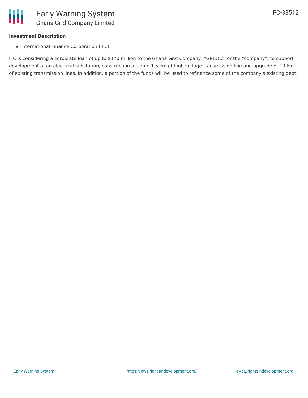#### **Investment Description**

• International Finance Corporation (IFC)

IFC is considering a corporate loan of up to \$170 million to the Ghana Grid Company ("GRIDCo" or the "company") to support development of an electrical substation, construction of some 1.5 km of high voltage transmission line and upgrade of 10 km of existing transmission lines. In addition, a portion of the funds will be used to refinance some of the company's existing debt.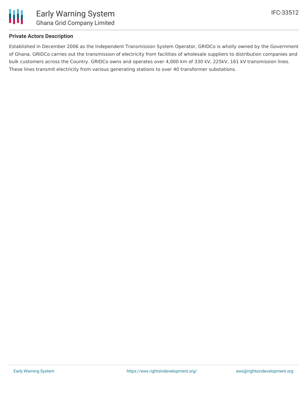

## **Private Actors Description**

Established in December 2006 as the Independent Transmission System Operator, GRIDCo is wholly owned by the Government of Ghana. GRIDCo carries out the transmission of electricity from facilities of wholesale suppliers to distribution companies and bulk customers across the Country. GRIDCo owns and operates over 4,000 km of 330 kV, 225kV, 161 kV transmission lines. These lines transmit electricity from various generating stations to over 40 transformer substations.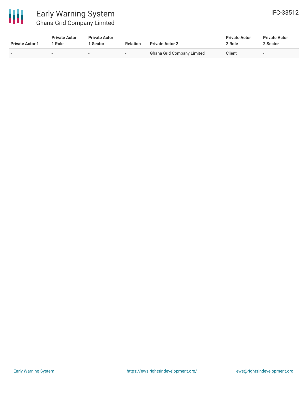

# Early Warning System Ghana Grid Company Limited

| <b>Private Actor 1</b>   | <b>Private Actor</b><br>Role | <b>Private Actor</b><br><b>Sector</b> | <b>Relation</b>          | <b>Private Actor 2</b>            | <b>Private Actor</b><br>2 Role | <b>Private Actor</b><br>2 Sector |  |
|--------------------------|------------------------------|---------------------------------------|--------------------------|-----------------------------------|--------------------------------|----------------------------------|--|
| $\overline{\phantom{a}}$ |                              | $\overline{\phantom{0}}$              | $\overline{\phantom{0}}$ | <b>Ghana Grid Company Limited</b> | Client                         | $\sim$                           |  |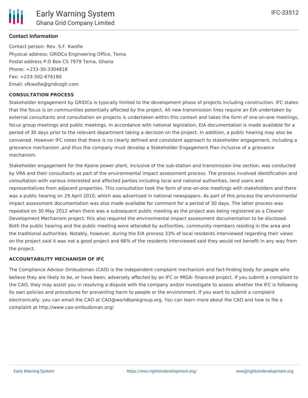

#### **Contact Information**

Contact person: Rev. S.F. Kwofie Physical address: GRIDCo Engineering Office, Tema Postal address P.O Box CS 7979 Tema, Ghana Phone: +233-30-3304818 Fax: +233-302-676180 Email: sfkwofie@gridcogh.com

#### **CONSULTATION PROCESS**

Stakeholder engagement by GRIDCo is typically limited to the development phase of projects including construction. IFC states that the focus is on communities potentially affected by the project. All new transmission lines require an EIA undertaken by external consultants and consultation on projects is undertaken within this context and takes the form of one-on-one meetings, focus group meetings and public meetings. In accordance with national legislation, EIA documentation is made available for a period of 30 days prior to the relevant department taking a decision on the project. In addition, a public hearing may also be convened. However IFC notes that there is no clearly defined and consistent approach to stakeholder engagement, including a grievance mechanism ,and thus the company must develop a Stakeholder Engagement Plan inclusive of a grievance mechanism.

Stakeholder engagement for the Kpone power plant, inclusive of the sub-station and transmission line section, was conducted by VRA and their consultants as part of the environmental impact assessment process. The process involved identification and consultation with various interested and affected parties including local and national authorities, land users and representatives from adjacent properties. This consultation took the form of one-on-one meetings with stakeholders and there was a public hearing on 29 April 2010, which was advertised in national newspapers. As part of this process the environmental impact assessment documentation was also made available for comment for a period of 30 days. The latter process was repeated on 30 May 2012 when there was a subsequent public meeting as the project was being registered as a Cleaner Development Mechanism project; this also required the environmental impact assessment documentation to be disclosed. Both the public hearing and the public meeting were attended by authorities, community members residing in the area and the traditional authorities. Notably, however, during the EIA process 33% of local residents interviewed regarding their views on the project said it was not a good project and 66% of the residents interviewed said they would not benefit in any way from the project.

#### **ACCOUNTABILITY MECHANISM OF IFC**

The Compliance Advisor Ombudsman (CAO) is the independent complaint mechanism and fact-finding body for people who believe they are likely to be, or have been, adversely affected by an IFC or MIGA- financed project. If you submit a complaint to the CAO, they may assist you in resolving a dispute with the company and/or investigate to assess whether the IFC is following its own policies and procedures for preventing harm to people or the environment. If you want to submit a complaint electronically, you can email the CAO at CAO@worldbankgroup.org. You can learn more about the CAO and how to file a complaint at http://www.cao-ombudsman.org/